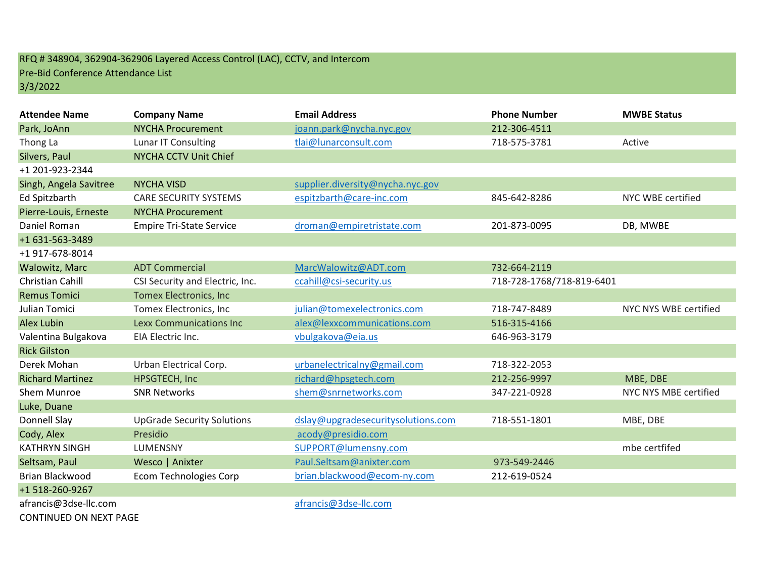## RFQ # 348904, 362904-362906 Layered Access Control (LAC), CCTV, and Intercom Pre-Bid Conference Attendance List 3/3/2022

| <b>Attendee Name</b>    | <b>Company Name</b>               | <b>Email Address</b>               | <b>Phone Number</b>       | <b>MWBE Status</b>    |
|-------------------------|-----------------------------------|------------------------------------|---------------------------|-----------------------|
| Park, JoAnn             | <b>NYCHA Procurement</b>          | joann.park@nycha.nyc.gov           | 212-306-4511              |                       |
| Thong La                | Lunar IT Consulting               | tlai@lunarconsult.com              | 718-575-3781              | Active                |
| Silvers, Paul           | NYCHA CCTV Unit Chief             |                                    |                           |                       |
| +1 201-923-2344         |                                   |                                    |                           |                       |
| Singh, Angela Savitree  | <b>NYCHA VISD</b>                 | supplier.diversity@nycha.nyc.gov   |                           |                       |
| <b>Ed Spitzbarth</b>    | <b>CARE SECURITY SYSTEMS</b>      | espitzbarth@care-inc.com           | 845-642-8286              | NYC WBE certified     |
| Pierre-Louis, Erneste   | <b>NYCHA Procurement</b>          |                                    |                           |                       |
| Daniel Roman            | <b>Empire Tri-State Service</b>   | droman@empiretristate.com          | 201-873-0095              | DB, MWBE              |
| +1 631-563-3489         |                                   |                                    |                           |                       |
| +1 917-678-8014         |                                   |                                    |                           |                       |
| <b>Walowitz, Marc</b>   | <b>ADT Commercial</b>             | MarcWalowitz@ADT.com               | 732-664-2119              |                       |
| Christian Cahill        | CSI Security and Electric, Inc.   | ccahill@csi-security.us            | 718-728-1768/718-819-6401 |                       |
| <b>Remus Tomici</b>     | <b>Tomex Electronics, Inc</b>     |                                    |                           |                       |
| Julian Tomici           | Tomex Electronics, Inc            | julian@tomexelectronics.com        | 718-747-8489              | NYC NYS WBE certified |
| <b>Alex Lubin</b>       | <b>Lexx Communications Inc.</b>   | alex@lexxcommunications.com        | 516-315-4166              |                       |
| Valentina Bulgakova     | EIA Electric Inc.                 | vbulgakova@eia.us                  | 646-963-3179              |                       |
| <b>Rick Gilston</b>     |                                   |                                    |                           |                       |
| Derek Mohan             | Urban Electrical Corp.            | urbanelectricalny@gmail.com        | 718-322-2053              |                       |
| <b>Richard Martinez</b> | HPSGTECH, Inc                     | richard@hpsgtech.com               | 212-256-9997              | MBE, DBE              |
| Shem Munroe             | <b>SNR Networks</b>               | shem@snrnetworks.com               | 347-221-0928              | NYC NYS MBE certified |
| Luke, Duane             |                                   |                                    |                           |                       |
| Donnell Slay            | <b>UpGrade Security Solutions</b> | dslay@upgradesecuritysolutions.com | 718-551-1801              | MBE, DBE              |
| Cody, Alex              | Presidio                          | acody@presidio.com                 |                           |                       |
| <b>KATHRYN SINGH</b>    | LUMENSNY                          | SUPPORT@lumensny.com               |                           | mbe certfifed         |
| Seltsam, Paul           | Wesco   Anixter                   | Paul.Seltsam@anixter.com           | 973-549-2446              |                       |
| Brian Blackwood         | <b>Ecom Technologies Corp</b>     | brian.blackwood@ecom-ny.com        | 212-619-0524              |                       |
| +1 518-260-9267         |                                   |                                    |                           |                       |
| afrancis@3dse-llc.com   |                                   | afrancis@3dse-llc.com              |                           |                       |

CONTINUED ON NEXT PAGE